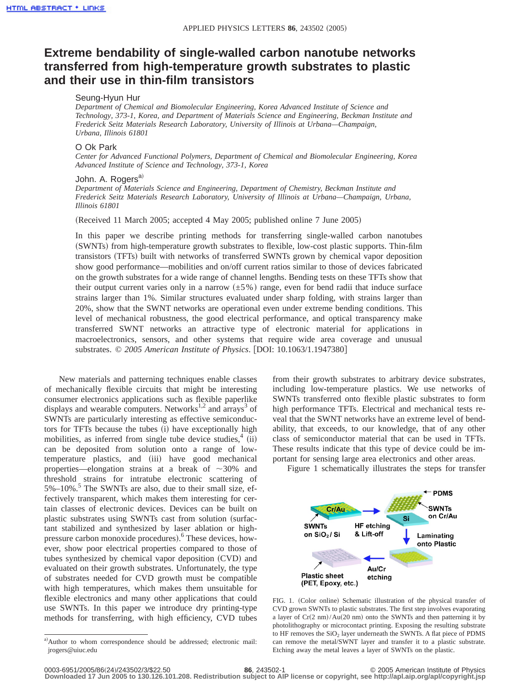## **Extreme bendability of single-walled carbon nanotube networks transferred from high-temperature growth substrates to plastic and their use in thin-film transistors**

## Seung-Hyun Hur

*Department of Chemical and Biomolecular Engineering, Korea Advanced Institute of Science and Technology, 373-1, Korea, and Department of Materials Science and Engineering, Beckman Institute and Frederick Seitz Materials Research Laboratory, University of Illinois at Urbana—Champaign, Urbana, Illinois 61801*

## O Ok Park

*Center for Advanced Functional Polymers, Department of Chemical and Biomolecular Engineering, Korea Advanced Institute of Science and Technology, 373-1, Korea*

## John. A. Rogers<sup>a)</sup>

*Department of Materials Science and Engineering, Department of Chemistry, Beckman Institute and Frederick Seitz Materials Research Laboratory, University of Illinois at Urbana—Champaign, Urbana, Illinois 61801*

(Received 11 March 2005; accepted 4 May 2005; published online  $7$  June 2005)

In this paper we describe printing methods for transferring single-walled carbon nanotubes (SWNTs) from high-temperature growth substrates to flexible, low-cost plastic supports. Thin-film transistors (TFTs) built with networks of transferred SWNTs grown by chemical vapor deposition show good performance—mobilities and on/off current ratios similar to those of devices fabricated on the growth substrates for a wide range of channel lengths. Bending tests on these TFTs show that their output current varies only in a narrow  $(\pm 5\%)$  range, even for bend radii that induce surface strains larger than 1%. Similar structures evaluated under sharp folding, with strains larger than 20%, show that the SWNT networks are operational even under extreme bending conditions. This level of mechanical robustness, the good electrical performance, and optical transparency make transferred SWNT networks an attractive type of electronic material for applications in macroelectronics, sensors, and other systems that require wide area coverage and unusual substrates. © 2005 American Institute of Physics. [DOI: 10.1063/1.1947380]

New materials and patterning techniques enable classes of mechanically flexible circuits that might be interesting consumer electronics applications such as flexible paperlike displays and wearable computers. Networks<sup>1,2</sup> and  $\arccos^3$  of SWNTs are particularly interesting as effective semiconductors for TFTs because the tubes (i) have exceptionally high mobilities, as inferred from single tube device studies, $4$  (ii) can be deposited from solution onto a range of lowtemperature plastics, and (iii) have good mechanical properties—elongation strains at a break of  $\sim$ 30% and threshold strains for intratube electronic scattering of  $5\%$ –10%.<sup>5</sup> The SWNTs are also, due to their small size, effectively transparent, which makes them interesting for certain classes of electronic devices. Devices can be built on plastic substrates using SWNTs cast from solution (surfactant stabilized and synthesized by laser ablation or highpressure carbon monoxide procedures).<sup>6</sup> These devices, however, show poor electrical properties compared to those of tubes synthesized by chemical vapor deposition (CVD) and evaluated on their growth substrates. Unfortunately, the type of substrates needed for CVD growth must be compatible with high temperatures, which makes them unsuitable for flexible electronics and many other applications that could use SWNTs. In this paper we introduce dry printing-type methods for transferring, with high efficiency, CVD tubes from their growth substrates to arbitrary device substrates, including low-temperature plastics. We use networks of SWNTs transferred onto flexible plastic substrates to form high performance TFTs. Electrical and mechanical tests reveal that the SWNT networks have an extreme level of bendability, that exceeds, to our knowledge, that of any other class of semiconductor material that can be used in TFTs. These results indicate that this type of device could be important for sensing large area electronics and other areas.

Figure 1 schematically illustrates the steps for transfer



FIG. 1. (Color online) Schematic illustration of the physical transfer of CVD grown SWNTs to plastic substrates. The first step involves evaporating a layer of  $Cr(2 \text{ nm})/Au(20 \text{ nm})$  onto the SWNTs and then patterning it by photolithography or microcontact printing. Exposing the resulting substrate to HF removes the  $SiO<sub>2</sub>$  layer underneath the SWNTs. A flat piece of PDMS can remove the metal/SWNT layer and transfer it to a plastic substrate. Etching away the metal leaves a layer of SWNTs on the plastic.

a)Author to whom correspondence should be addressed; electronic mail: jrogers@uiuc.edu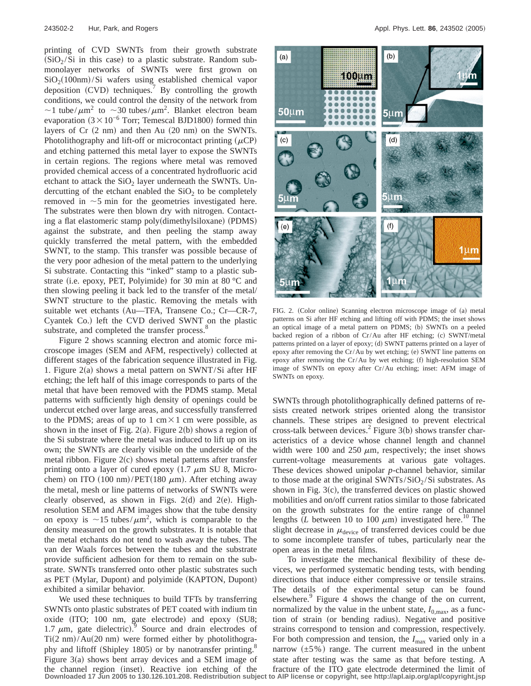printing of CVD SWNTs from their growth substrate  $(SiO<sub>2</sub>/Si$  in this case) to a plastic substrate. Random submonolayer networks of SWNTs were first grown on  $SiO<sub>2</sub>(100nm)/Si$  wafers using established chemical vapor deposition (CVD) techniques.<sup>7</sup> By controlling the growth conditions, we could control the density of the network from  $\sim$ 1 tube/ $\mu$ m<sup>2</sup> to  $\sim$ 30 tubes/ $\mu$ m<sup>2</sup>. Blanket electron beam evaporation  $(3 \times 10^{-6}$  Torr; Temescal BJD1800) formed thin layers of  $Cr(2 nm)$  and then Au  $(20 nm)$  on the SWNTs. Photolithography and lift-off or microcontact printing  $(\mu CP)$ and etching patterned this metal layer to expose the SWNTs in certain regions. The regions where metal was removed provided chemical access of a concentrated hydrofluoric acid etchant to attack the  $SiO<sub>2</sub>$  layer underneath the SWNTs. Undercutting of the etchant enabled the  $SiO<sub>2</sub>$  to be completely removed in  $\sim$  5 min for the geometries investigated here. The substrates were then blown dry with nitrogen. Contacting a flat elastomeric stamp poly(dimethylsiloxane) (PDMS) against the substrate, and then peeling the stamp away quickly transferred the metal pattern, with the embedded SWNT, to the stamp. This transfer was possible because of the very poor adhesion of the metal pattern to the underlying Si substrate. Contacting this "inked" stamp to a plastic substrate (i.e. epoxy, PET, Polyimide) for 30 min at 80  $\degree$ C and then slowing peeling it back led to the transfer of the metal/ SWNT structure to the plastic. Removing the metals with suitable wet etchants (Au—TFA, Transene Co.; Cr—CR-7, Cyantek Co.) left the CVD derived SWNT on the plastic substrate, and completed the transfer process.<sup>8</sup>

Figure 2 shows scanning electron and atomic force microscope images (SEM and AFM, respectively) collected at different stages of the fabrication sequence illustrated in Fig. 1. Figure  $2(a)$  shows a metal pattern on SWNT/Si after HF etching; the left half of this image corresponds to parts of the metal that have been removed with the PDMS stamp. Metal patterns with sufficiently high density of openings could be undercut etched over large areas, and successfully transferred to the PDMS; areas of up to 1 cm $\times$ 1 cm were possible, as shown in the inset of Fig. 2(a). Figure 2(b) shows a region of the Si substrate where the metal was induced to lift up on its own; the SWNTs are clearly visible on the underside of the metal ribbon. Figure  $2(c)$  shows metal patterns after transfer printing onto a layer of cured epoxy  $(1.7 \mu m \text{ SU } 8, \text{ Micro-}$ chem) on ITO (100 nm)/PET(180  $\mu$ m). After etching away the metal, mesh or line patterns of networks of SWNTs were clearly observed, as shown in Figs. 2(d) and 2(e). Highresolution SEM and AFM images show that the tube density on epoxy is  $\sim$ 15 tubes/ $\mu$ m<sup>2</sup>, which is comparable to the density measured on the growth substrates. It is notable that the metal etchants do not tend to wash away the tubes. The van der Waals forces between the tubes and the substrate provide sufficient adhesion for them to remain on the substrate. SWNTs transferred onto other plastic substrates such as PET (Mylar, Dupont) and polyimide (KAPTON, Dupont) exhibited a similar behavior.

We used these techniques to build TFTs by transferring SWNTs onto plastic substrates of PET coated with indium tin oxide (ITO; 100 nm, gate electrode) and epoxy (SU8; 1.7  $\mu$ m, gate dielectric).<sup>9</sup> Source and drain electrodes of  $Ti(2 \text{ nm})/Au(20 \text{ nm})$  were formed either by photolithography and liftoff (Shipley 1805) or by nanotransfer printing.<sup>8</sup> Figure  $3(a)$  shows bent array devices and a SEM image of the channel region (inset). Reactive ion etching of the **Downloaded 17 Jun 2005 to 130.126.101.208. Redistribution subject to AIP license or copyright, see http://apl.aip.org/apl/copyright.jsp**



FIG. 2. (Color online) Scanning electron microscope image of (a) metal patterns on Si after HF etching and lifting off with PDMS; the inset shows an optical image of a metal pattern on PDMS; (b) SWNTs on a peeled backed region of a ribbon of Cr/Au after HF etching; (c) SWNT/metal patterns printed on a layer of epoxy; (d) SWNT patterns printed on a layer of epoxy after removing the Cr/Au by wet etching; (e) SWNT line patterns on epoxy after removing the Cr/Au by wet etching;  $(f)$  high-resolution SEM image of SWNTs on epoxy after Cr/Au etching; inset: AFM image of SWNTs on epoxy.

SWNTs through photolithographically defined patterns of resists created network stripes oriented along the transistor channels. These stripes are designed to prevent electrical cross-talk between devices.<sup>2</sup> Figure 3(b) shows transfer characteristics of a device whose channel length and channel width were 100 and 250  $\mu$ m, respectively; the inset shows current-voltage measurements at various gate voltages. These devices showed unipolar *p*-channel behavior, similar to those made at the original SWNTs/SiO<sub>2</sub>/Si substrates. As shown in Fig.  $3(c)$ , the transferred devices on plastic showed mobilities and on/off current ratios similar to those fabricated on the growth substrates for the entire range of channel lengths  $\overline{L}$  between 10 to 100  $\mu$ m) investigated here.<sup>10</sup> The slight decrease in  $\mu_{\text{device}}$  of transferred devices could be due to some incomplete transfer of tubes, particularly near the open areas in the metal films.

To investigate the mechanical flexibility of these devices, we performed systematic bending tests, with bending directions that induce either compressive or tensile strains. The details of the experimental setup can be found elsewhere.<sup>9</sup> Figure 4 shows the change of the on current, normalized by the value in the unbent state,  $I_{0,\text{max}}$ , as a function of strain (or bending radius). Negative and positive strains correspond to tension and compression, respectively. For both compression and tension, the  $I_{\text{max}}$  varied only in a narrow  $(\pm 5\%)$  range. The current measured in the unbent state after testing was the same as that before testing. A fracture of the ITO gate electrode determined the limit of